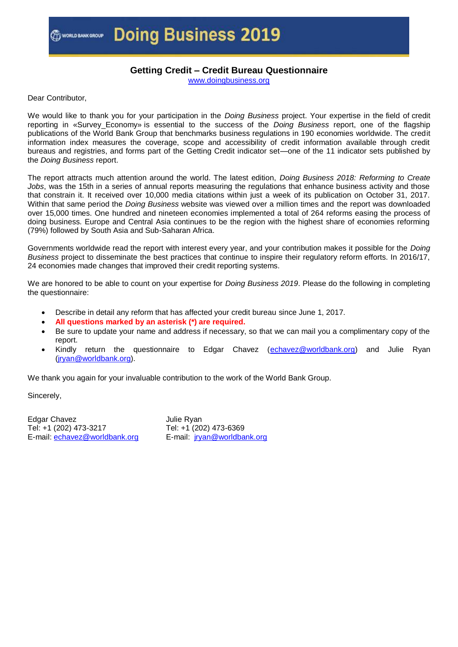## **Getting Credit – Credit Bureau Questionnaire**

[www.doingbusiness.org](http://www.doingbusiness.org/)

Dear Contributor,

We would like to thank you for your participation in the *Doing Business* project. Your expertise in the field of credit reporting in «Survey\_Economy» is essential to the success of the *Doing Business* report, one of the flagship publications of the World Bank Group that benchmarks business regulations in 190 economies worldwide. The credit information index measures the coverage, scope and accessibility of credit information available through credit bureaus and registries, and forms part of the Getting Credit indicator set—one of the 11 indicator sets published by the *Doing Business* report.

The report attracts much attention around the world. The latest edition, *Doing Business 2018: Reforming to Create Jobs*, was the 15th in a series of annual reports measuring the regulations that enhance business activity and those that constrain it. It received over 10,000 media citations within just a week of its publication on October 31, 2017. Within that same period the *Doing Business* website was viewed over a million times and the report was downloaded over 15,000 times. One hundred and nineteen economies implemented a total of 264 reforms easing the process of doing business. Europe and Central Asia continues to be the region with the highest share of economies reforming (79%) followed by South Asia and Sub-Saharan Africa.

Governments worldwide read the report with interest every year, and your contribution makes it possible for the *Doing Business* project to disseminate the best practices that continue to inspire their regulatory reform efforts. In 2016/17, 24 economies made changes that improved their credit reporting systems.

We are honored to be able to count on your expertise for *Doing Business 2019*. Please do the following in completing the questionnaire:

- Describe in detail any reform that has affected your credit bureau since June 1, 2017.
- **All questions marked by an asterisk (\*) are required.**
- Be sure to update your name and address if necessary, so that we can mail you a complimentary copy of the report.
- Kindly return the questionnaire to Edgar Chavez [\(echavez@worldbank.org\)](mailto:echavez@worldbank.org) and Julie Ryan [\(jryan@worldbank.org\)](mailto:jryan@worldbank.org).

We thank you again for your invaluable contribution to the work of the World Bank Group.

Sincerely,

Edgar Chavez Tel: +1 (202) 473-3217 E-mail: [echavez@worldbank.org](mailto:echavez@worldbank.org) Julie Ryan Tel: +1 (202) 473-6369 E-mail: [jryan@worldbank.org](mailto:jryan@worldbank.org)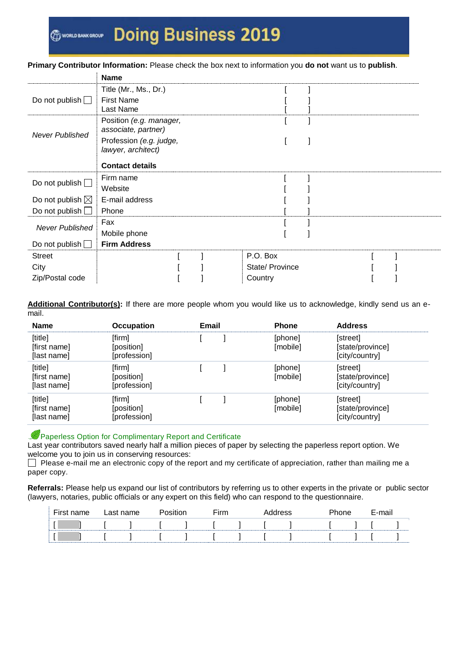#### **Primary Contributor Information:** Please check the box next to information you **do not** want us to **publish**.

|                            | <b>Name</b>             |                 |  |  |
|----------------------------|-------------------------|-----------------|--|--|
|                            | Title (Mr., Ms., Dr.)   |                 |  |  |
| Do not publish $\Box$      | <b>First Name</b>       |                 |  |  |
|                            | Last Name               |                 |  |  |
|                            | Position (e.g. manager, |                 |  |  |
| <b>Never Published</b>     | associate, partner)     |                 |  |  |
|                            | Profession (e.g. judge, |                 |  |  |
|                            | lawyer, architect)      |                 |  |  |
|                            | <b>Contact details</b>  |                 |  |  |
|                            | Firm name               |                 |  |  |
| Do not publish $\square$   | Website                 |                 |  |  |
| Do not publish $\boxtimes$ | E-mail address          |                 |  |  |
| Do not publish $\square$   | Phone                   |                 |  |  |
| <b>Never Published</b>     | Fax                     |                 |  |  |
|                            | Mobile phone            |                 |  |  |
| Do not publish $\Box$      | <b>Firm Address</b>     |                 |  |  |
| <b>Street</b>              |                         | P.O. Box        |  |  |
| City                       |                         | State/ Province |  |  |
| Zip/Postal code            |                         | Country         |  |  |

**Additional Contributor(s):** If there are more people whom you would like us to acknowledge, kindly send us an email.

| <b>Name</b>                            | <b>Occupation</b>                    | <b>Email</b> | <b>Phone</b>        | <b>Address</b>                                 |
|----------------------------------------|--------------------------------------|--------------|---------------------|------------------------------------------------|
| [title]<br>[first name]<br>[last name] | [firm]<br>[position]<br>[profession] |              | [phone]<br>[mobile] | [street]<br>[state/province]<br>[city/country] |
| [title]<br>[first name]<br>[last name] | [firm]<br>[position]<br>[profession] |              | [phone]<br>[mobile] | [street]<br>[state/province]<br>[city/country] |
| [title]<br>[first name]<br>[last name] | [firm]<br>[position]<br>[profession] |              | [phone]<br>[mobile] | [street]<br>[state/province]<br>[city/country] |

### Paperless Option for Complimentary Report and Certificate

Last year contributors saved nearly half a million pieces of paper by selecting the paperless report option. We welcome you to join us in conserving resources:

 $\Box$  Please e-mail me an electronic copy of the report and my certificate of appreciation, rather than mailing me a paper copy.

**Referrals:** Please help us expand our list of contributors by referring us to other experts in the private or public sector (lawyers, notaries, public officials or any expert on this field) who can respond to the questionnaire.

| First name | Last name |  | ⊆irm |  | Address | ohone | E-mail |  |
|------------|-----------|--|------|--|---------|-------|--------|--|
|            |           |  |      |  |         |       |        |  |
|            |           |  |      |  |         |       |        |  |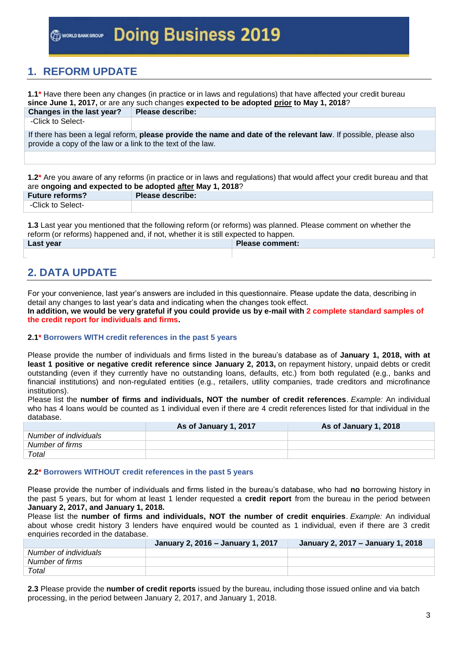## **1. REFORM UPDATE**

| 1.1* Have there been any changes (in practice or in laws and regulations) that have affected your credit bureau<br>since June 1, 2017, or are any such changes expected to be adopted prior to May 1, 2018? |                                                                                                                  |  |  |  |  |  |
|-------------------------------------------------------------------------------------------------------------------------------------------------------------------------------------------------------------|------------------------------------------------------------------------------------------------------------------|--|--|--|--|--|
| Changes in the last year?                                                                                                                                                                                   | <b>Please describe:</b>                                                                                          |  |  |  |  |  |
| -Click to Select-                                                                                                                                                                                           |                                                                                                                  |  |  |  |  |  |
| provide a copy of the law or a link to the text of the law.                                                                                                                                                 | If there has been a legal reform, please provide the name and date of the relevant law. If possible, please also |  |  |  |  |  |
|                                                                                                                                                                                                             |                                                                                                                  |  |  |  |  |  |

**1.2\*** Are you aware of any reforms (in practice or in laws and regulations) that would affect your credit bureau and that are **ongoing and expected to be adopted after May 1, 2018**?

| <b>Future reforms?</b> | Please describe: |
|------------------------|------------------|
| -Click to Select-      |                  |
|                        |                  |

**1.3** Last year you mentioned that the following reform (or reforms) was planned. Please comment on whether the reform (or reforms) happened and, if not, whether it is still expected to happen.

| Last year | Please comment: |
|-----------|-----------------|
|           |                 |

# **2. DATA UPDATE**

For your convenience, last year's answers are included in this questionnaire. Please update the data, describing in detail any changes to last year's data and indicating when the changes took effect.

**In addition, we would be very grateful if you could provide us by e-mail with 2 complete standard samples of the credit report for individuals and firms.**

## **2.1\* Borrowers WITH credit references in the past 5 years**

Please provide the number of individuals and firms listed in the bureau's database as of **January 1, 2018, with at least 1 positive or negative credit reference since January 2, 2013,** on repayment history, unpaid debts or credit outstanding (even if they currently have no outstanding loans, defaults, etc.) from both regulated (e.g., banks and financial institutions) and non-regulated entities (e.g., retailers, utility companies, trade creditors and microfinance institutions).

Please list the **number of firms and individuals, NOT the number of credit references**. *Example:* An individual who has 4 loans would be counted as 1 individual even if there are 4 credit references listed for that individual in the database.

|                       | As of January 1, 2017 | As of January 1, 2018 |
|-----------------------|-----------------------|-----------------------|
| Number of individuals |                       |                       |
| Number of firms       |                       |                       |
| Total                 |                       |                       |

### **2.2\* Borrowers WITHOUT credit references in the past 5 years**

Please provide the number of individuals and firms listed in the bureau's database, who had **no** borrowing history in the past 5 years, but for whom at least 1 lender requested a **credit report** from the bureau in the period between **January 2, 2017, and January 1, 2018.**

Please list the **number of firms and individuals, NOT the number of credit enquiries**. *Example:* An individual about whose credit history 3 lenders have enquired would be counted as 1 individual, even if there are 3 credit enquiries recorded in the database.

|                       | January 2, 2016 - January 1, 2017 | January 2, 2017 - January 1, 2018 |
|-----------------------|-----------------------------------|-----------------------------------|
| Number of individuals |                                   |                                   |
| Number of firms       |                                   |                                   |
| Total                 |                                   |                                   |

**2.3** Please provide the **number of credit reports** issued by the bureau, including those issued online and via batch processing, in the period between January 2, 2017, and January 1, 2018.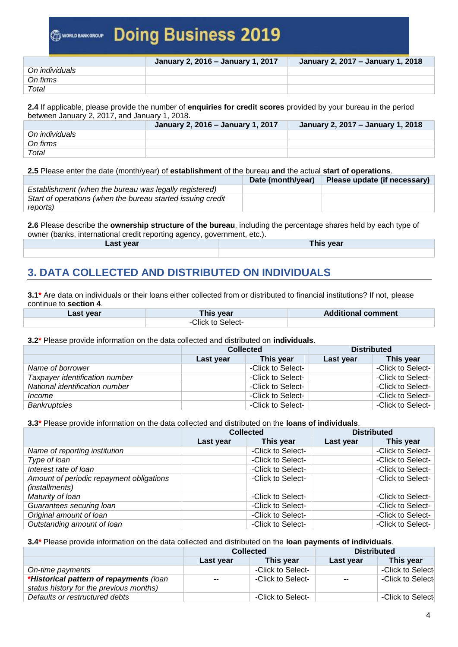|                | January 2, 2016 – January 1, 2017 | January 2, 2017 - January 1, 2018 |
|----------------|-----------------------------------|-----------------------------------|
| On individuals |                                   |                                   |
| On firms       |                                   |                                   |
| Total          |                                   |                                   |

**2.4** If applicable, please provide the number of **enquiries for credit scores** provided by your bureau in the period between January 2, 2017, and January 1, 2018.

|                | January 2, 2016 - January 1, 2017 | January 2, 2017 - January 1, 2018 |
|----------------|-----------------------------------|-----------------------------------|
| On individuals |                                   |                                   |
| On firms       |                                   |                                   |
| Total          |                                   |                                   |

**2.5** Please enter the date (month/year) of **establishment** of the bureau **and** the actual **start of operations**.

|                                                             | Date (month/year) | Please update (if necessary) |
|-------------------------------------------------------------|-------------------|------------------------------|
| Establishment (when the bureau was legally registered)      |                   |                              |
| Start of operations (when the bureau started issuing credit |                   |                              |
| reports)                                                    |                   |                              |

**2.6** Please describe the **ownership structure of the bureau**, including the percentage shares held by each type of owner (banks, international credit reporting agency, government, etc.).

| Last year | his vear<br>. |
|-----------|---------------|
|           |               |

# **3. DATA COLLECTED AND DISTRIBUTED ON INDIVIDUALS**

**3.1\*** Are data on individuals or their loans either collected from or distributed to financial institutions? If not, please continue to **section 4**.

| ∟ast year | This vear l       | <b>Additional comment</b> |
|-----------|-------------------|---------------------------|
|           | -Click to Select- |                           |

**3.2\*** Please provide information on the data collected and distributed on **individuals**.

|                                | <b>Collected</b> |                   | <b>Distributed</b> |                   |
|--------------------------------|------------------|-------------------|--------------------|-------------------|
|                                | Last year        | This year         | Last year          | This year         |
| Name of borrower               |                  | -Click to Select- |                    | -Click to Select- |
| Taxpayer identification number |                  | -Click to Select- |                    | -Click to Select- |
| National identification number |                  | -Click to Select- |                    | -Click to Select- |
| <i>Income</i>                  |                  | -Click to Select- |                    | -Click to Select- |
| <b>Bankruptcies</b>            |                  | -Click to Select- |                    | -Click to Select- |

**3.3\*** Please provide information on the data collected and distributed on the **loans of individuals**.

|                                                            | <b>Collected</b> |                   | <b>Distributed</b> |                   |
|------------------------------------------------------------|------------------|-------------------|--------------------|-------------------|
|                                                            | Last year        | This year         | Last year          | This year         |
| Name of reporting institution                              |                  | -Click to Select- |                    | -Click to Select- |
| Type of loan                                               |                  | -Click to Select- |                    | -Click to Select- |
| Interest rate of loan                                      |                  | -Click to Select- |                    | -Click to Select- |
| Amount of periodic repayment obligations<br>(installments) |                  | -Click to Select- |                    | -Click to Select- |
| Maturity of Ioan                                           |                  | -Click to Select- |                    | -Click to Select- |
| Guarantees securing loan                                   |                  | -Click to Select- |                    | -Click to Select- |
| Original amount of loan                                    |                  | -Click to Select- |                    | -Click to Select- |
| Outstanding amount of loan                                 |                  | -Click to Select- |                    | -Click to Select- |

## **3.4\*** Please provide information on the data collected and distributed on the **loan payments of individuals**.

|                                         | <b>Collected</b> |                   | <b>Distributed</b> |                   |
|-----------------------------------------|------------------|-------------------|--------------------|-------------------|
|                                         | Last year        | This year         | Last year          | This year         |
| On-time payments                        |                  | -Click to Select- |                    | -Click to Select- |
| *Historical pattern of repayments (loan | $\sim$ $\sim$    | -Click to Select- | $\sim$ $\sim$      | -Click to Select- |
| status history for the previous months) |                  |                   |                    |                   |
| Defaults or restructured debts          |                  | -Click to Select- |                    | -Click to Select- |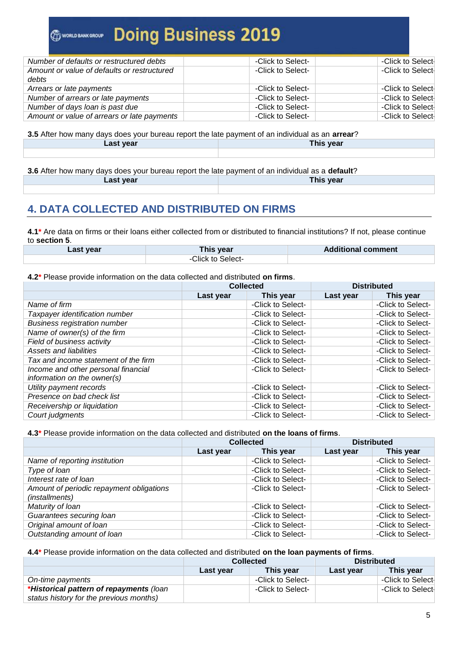| -Click to Select- | -Click to Select- |
|-------------------|-------------------|
| -Click to Select- | -Click to Select- |
|                   |                   |
| -Click to Select- | -Click to Select- |
| -Click to Select- | -Click to Select- |
| -Click to Select- | -Click to Select- |
| -Click to Select- | -Click to Select- |
|                   |                   |

**3.5** After how many days does your bureau report the late payment of an individual as an **arrear**? **Last year This year**

**3.6** After how many days does your bureau report the late payment of an individual as a **default**? **Last year This year**

## **4. DATA COLLECTED AND DISTRIBUTED ON FIRMS**

**4.1\*** Are data on firms or their loans either collected from or distributed to financial institutions? If not, please continue to **section 5**.

| Last year | This year         | <b>Additional comment</b> |
|-----------|-------------------|---------------------------|
|           | -Click to Select- |                           |

#### **4.2\*** Please provide information on the data collected and distributed **on firms**.

|                                      | <b>Collected</b> |                   |           | <b>Distributed</b> |
|--------------------------------------|------------------|-------------------|-----------|--------------------|
|                                      | Last year        | This year         | Last year | This year          |
| Name of firm                         |                  | -Click to Select- |           | -Click to Select-  |
| Taxpayer identification number       |                  | -Click to Select- |           | -Click to Select-  |
| <b>Business registration number</b>  |                  | -Click to Select- |           | -Click to Select-  |
| Name of owner(s) of the firm         |                  | -Click to Select- |           | -Click to Select-  |
| Field of business activity           |                  | -Click to Select- |           | -Click to Select-  |
| Assets and liabilities               |                  | -Click to Select- |           | -Click to Select-  |
| Tax and income statement of the firm |                  | -Click to Select- |           | -Click to Select-  |
| Income and other personal financial  |                  | -Click to Select- |           | -Click to Select-  |
| information on the owner(s)          |                  |                   |           |                    |
| Utility payment records              |                  | -Click to Select- |           | -Click to Select-  |
| Presence on bad check list           |                  | -Click to Select- |           | -Click to Select-  |
| Receivership or liquidation          |                  | -Click to Select- |           | -Click to Select-  |
| Court judgments                      |                  | -Click to Select- |           | -Click to Select-  |

### **4.3\*** Please provide information on the data collected and distributed **on the loans of firms**.

|                                                            | <b>Collected</b> |                   | <b>Distributed</b> |                   |
|------------------------------------------------------------|------------------|-------------------|--------------------|-------------------|
|                                                            | Last year        | This year         | Last year          | This year         |
| Name of reporting institution                              |                  | -Click to Select- |                    | -Click to Select- |
| Type of loan                                               |                  | -Click to Select- |                    | -Click to Select- |
| Interest rate of loan                                      |                  | -Click to Select- |                    | -Click to Select- |
| Amount of periodic repayment obligations<br>(installments) |                  | -Click to Select- |                    | -Click to Select- |
| Maturity of Ioan                                           |                  | -Click to Select- |                    | -Click to Select- |
| Guarantees securing loan                                   |                  | -Click to Select- |                    | -Click to Select- |
| Original amount of loan                                    |                  | -Click to Select- |                    | -Click to Select- |
| Outstanding amount of loan                                 |                  | -Click to Select- |                    | -Click to Select- |

#### **4.4\*** Please provide information on the data collected and distributed **on the loan payments of firms**.

|                                         | <b>Collected</b> |                   | <b>Distributed</b> |                   |
|-----------------------------------------|------------------|-------------------|--------------------|-------------------|
|                                         | Last year        | This vear         | Last year          | This year         |
| On-time payments                        |                  | -Click to Select- |                    | -Click to Select- |
| *Historical pattern of repayments (loan |                  | -Click to Select- |                    | -Click to Select- |
| status history for the previous months) |                  |                   |                    |                   |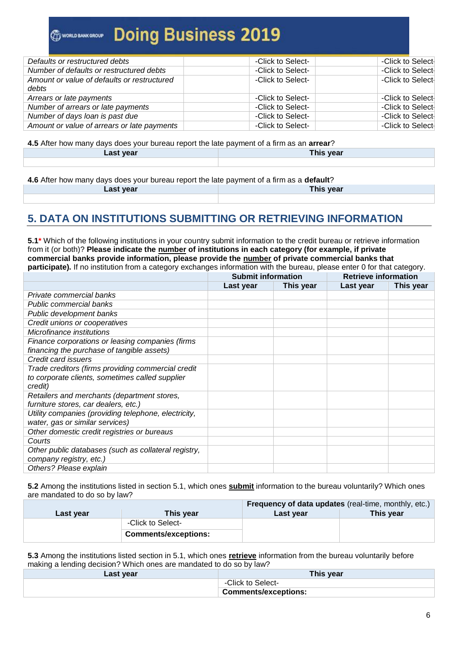| Defaults or restructured debts              | -Click to Select- | -Click to Select- |
|---------------------------------------------|-------------------|-------------------|
| Number of defaults or restructured debts    | -Click to Select- | -Click to Select- |
| Amount or value of defaults or restructured | -Click to Select- | -Click to Select- |
| debts                                       |                   |                   |
| Arrears or late payments                    | -Click to Select- | -Click to Select- |
| Number of arrears or late payments          | -Click to Select- | -Click to Select- |
| Number of days loan is past due             | -Click to Select- | -Click to Select- |
| Amount or value of arrears or late payments | -Click to Select- | -Click to Select- |

**4.5** After how many days does your bureau report the late payment of a firm as an **arrear**? **Last year This year**

**4.6** After how many days does your bureau report the late payment of a firm as a **default**? **Last year This year**

## **5. DATA ON INSTITUTIONS SUBMITTING OR RETRIEVING INFORMATION**

**5.1\*** Which of the following institutions in your country submit information to the credit bureau or retrieve information from it (or both)? **Please indicate the number of institutions in each category (for example, if private commercial banks provide information, please provide the number of private commercial banks that participate).** If no institution from a category exchanges information with the bureau, please enter 0 for that category.

|                                                      | <b>Submit information</b> |           | <b>Retrieve information</b> |           |
|------------------------------------------------------|---------------------------|-----------|-----------------------------|-----------|
|                                                      | Last year                 | This year | Last year                   | This year |
| Private commercial banks                             |                           |           |                             |           |
| Public commercial banks                              |                           |           |                             |           |
| Public development banks                             |                           |           |                             |           |
| Credit unions or cooperatives                        |                           |           |                             |           |
| Microfinance institutions                            |                           |           |                             |           |
| Finance corporations or leasing companies (firms     |                           |           |                             |           |
| financing the purchase of tangible assets)           |                           |           |                             |           |
| Credit card issuers                                  |                           |           |                             |           |
| Trade creditors (firms providing commercial credit   |                           |           |                             |           |
| to corporate clients, sometimes called supplier      |                           |           |                             |           |
| credit)                                              |                           |           |                             |           |
| Retailers and merchants (department stores,          |                           |           |                             |           |
| furniture stores, car dealers, etc.)                 |                           |           |                             |           |
| Utility companies (providing telephone, electricity, |                           |           |                             |           |
| water, gas or similar services)                      |                           |           |                             |           |
| Other domestic credit registries or bureaus          |                           |           |                             |           |
| Courts                                               |                           |           |                             |           |
| Other public databases (such as collateral registry, |                           |           |                             |           |
| company registry, etc.)                              |                           |           |                             |           |
| Others? Please explain                               |                           |           |                             |           |

**5.2** Among the institutions listed in section 5.1, which ones **submit** information to the bureau voluntarily? Which ones are mandated to do so by law?

|           |                             | <b>Frequency of data updates</b> (real-time, monthly, etc.) |           |
|-----------|-----------------------------|-------------------------------------------------------------|-----------|
| Last year | This year                   | Last year                                                   | This vear |
|           | -Click to Select-           |                                                             |           |
|           | <b>Comments/exceptions:</b> |                                                             |           |

**5.3** Among the institutions listed section in 5.1, which ones **retrieve** information from the bureau voluntarily before making a lending decision? Which ones are mandated to do so by law?

| Last year | This year                     |
|-----------|-------------------------------|
|           | -Click to Select-             |
|           | <b>↓ Comments/exceptions:</b> |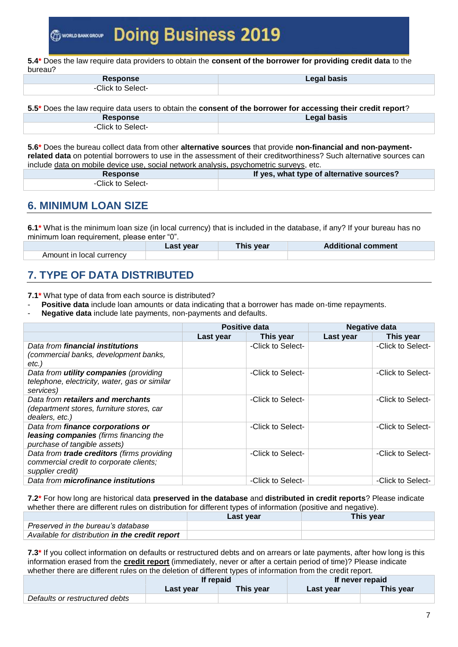**5.4\*** Does the law require data providers to obtain the **consent of the borrower for providing credit data** to the bureau?

| <b>Response</b>  | Legal basis |
|------------------|-------------|
| Click to Select- |             |

**5.5\*** Does the law require data users to obtain the **consent of the borrower for accessing their credit report**? **Response Legal basis**

| .                                   | $-0.99$ . $-0.000$ |
|-------------------------------------|--------------------|
| $\bigcap$ index to<br>-0<br>Select- |                    |
|                                     |                    |

**5.6\*** Does the bureau collect data from other **alternative sources** that provide **non-financial and non-paymentrelated data** on potential borrowers to use in the assessment of their creditworthiness? Such alternative sources can include data on mobile device use, social network analysis, psychometric surveys, etc.

| <b>Response</b>   | If yes, what type of alternative sources? |
|-------------------|-------------------------------------------|
| -Click to Select- |                                           |

## **6. MINIMUM LOAN SIZE**

**6.1\*** What is the minimum loan size (in local currency) that is included in the database, if any? If your bureau has no minimum loan requirement, please enter "0".

|                          | Last year | This year | <b>Additional comment</b> |
|--------------------------|-----------|-----------|---------------------------|
| Amount in local currency |           |           |                           |

## **7. TYPE OF DATA DISTRIBUTED**

**7.1\*** What type of data from each source is distributed?

- **Positive data** include loan amounts or data indicating that a borrower has made on-time repayments.
- Negative data include late payments, non-payments and defaults.

|                                                                                                                  | Positive data |                   | <b>Negative data</b> |                   |
|------------------------------------------------------------------------------------------------------------------|---------------|-------------------|----------------------|-------------------|
|                                                                                                                  | Last year     | This year         | Last year            | This year         |
| Data from financial institutions<br>(commercial banks, development banks,<br>etc.)                               |               | -Click to Select- |                      | -Click to Select- |
| Data from <i>utility</i> companies (providing<br>telephone, electricity, water, gas or similar<br>services)      |               | -Click to Select- |                      | -Click to Select- |
| Data from retailers and merchants<br>(department stores, furniture stores, car<br>dealers, etc.)                 |               | -Click to Select- |                      | -Click to Select- |
| Data from finance corporations or<br>leasing companies (firms financing the<br>purchase of tangible assets)      |               | -Click to Select- |                      | -Click to Select- |
| Data from <b>trade creditors</b> (firms providing<br>commercial credit to corporate clients;<br>supplier credit) |               | -Click to Select- |                      | -Click to Select- |
| Data from microfinance institutions                                                                              |               | -Click to Select- |                      | -Click to Select- |

**7.2\*** For how long are historical data **preserved in the database** and **distributed in credit reports**? Please indicate whether there are different rules on distribution for different types of information (positive and negative).

|                                                 | Last year | This year |
|-------------------------------------------------|-----------|-----------|
| Preserved in the bureau's database              |           |           |
| Available for distribution in the credit report |           |           |

**7.3\*** If you collect information on defaults or restructured debts and on arrears or late payments, after how long is this information erased from the **credit report** (immediately, never or after a certain period of time)? Please indicate whether there are different rules on the deletion of different types of information from the credit report.

|                                | If repaid |           | If never repaid |           |
|--------------------------------|-----------|-----------|-----------------|-----------|
|                                | Last year | This year | Last year       | This year |
| Defaults or restructured debts |           |           |                 |           |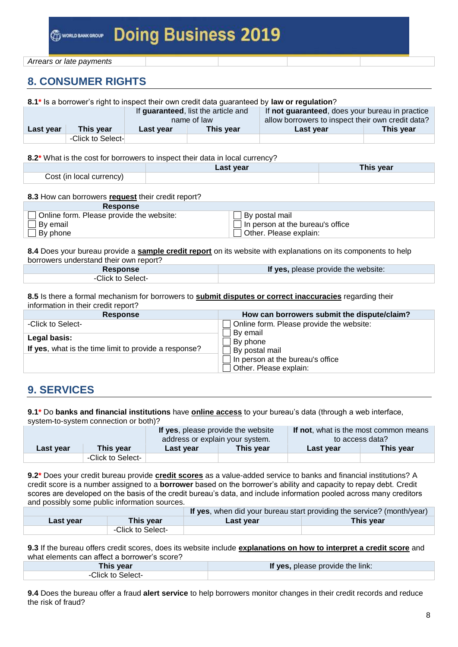## **8. CONSUMER RIGHTS**

| 8.1* Is a borrower's right to inspect their own credit data guaranteed by law or regulation? |                   |                                                    |           |                                                                                                      |           |
|----------------------------------------------------------------------------------------------|-------------------|----------------------------------------------------|-----------|------------------------------------------------------------------------------------------------------|-----------|
|                                                                                              |                   | If guaranteed, list the article and<br>name of law |           | If not guaranteed, does your bureau in practice<br>allow borrowers to inspect their own credit data? |           |
| Last year                                                                                    | This vear         | Last year                                          | This year | Last year                                                                                            | This year |
|                                                                                              | -Click to Select- |                                                    |           |                                                                                                      |           |

**8.2\*** What is the cost for borrowers to inspect their data in local currency?

|                          | Last year | This year |
|--------------------------|-----------|-----------|
| Cost (in local currency) |           |           |

#### **8.3** How can borrowers **request** their credit report?

| <b>Response</b>                          |                                         |
|------------------------------------------|-----------------------------------------|
| Online form. Please provide the website: | By postal mail                          |
| By email                                 | $\Box$ In person at the bureau's office |
| $\Box$ By phone                          | Other. Please explain:                  |

**8.4** Does your bureau provide a **sample credit report** on its website with explanations on its components to help borrowers understand their own report?

| Response         | If yes, please provide the website: |
|------------------|-------------------------------------|
| Click to Select- |                                     |

**8.5** Is there a formal mechanism for borrowers to **submit disputes or correct inaccuracies** regarding their information in their credit report?

| <b>Response</b>                                       | How can borrowers submit the dispute/claim?                                  |
|-------------------------------------------------------|------------------------------------------------------------------------------|
| -Click to Select-                                     | Online form. Please provide the website:                                     |
| Legal basis:                                          | By email<br>By phone                                                         |
| If yes, what is the time limit to provide a response? | By postal mail<br>In person at the bureau's office<br>Other. Please explain: |
|                                                       |                                                                              |

## **9. SERVICES**

**9.1\*** Do **banks and financial institutions** have **online access** to your bureau's data (through a web interface, system-to-system connection or both)?

|           | If not, what is the most common means<br>If yes, please provide the website<br>to access data? |           | address or explain your system. |           |           |
|-----------|------------------------------------------------------------------------------------------------|-----------|---------------------------------|-----------|-----------|
| Last year | <b>This year</b>                                                                               | Last year | This year                       | Last year | This year |
|           | -Click to Select-                                                                              |           |                                 |           |           |

**9.2\*** Does your credit bureau provide **credit scores** as a value-added service to banks and financial institutions? A credit score is a number assigned to a **borrower** based on the borrower's ability and capacity to repay debt. Credit scores are developed on the basis of the credit bureau's data, and include information pooled across many creditors and possibly some public information sources.

| If yes, when did your bureau start providing the service? (month/year) |                   |           |           |
|------------------------------------------------------------------------|-------------------|-----------|-----------|
| Last year                                                              | This year         | Last year | This year |
|                                                                        | -Click to Select- |           |           |

**9.3** If the bureau offers credit scores, does its website include **explanations on how to interpret a credit score** and what elements can affect a borrower's score?

| This year         | If yes, please provide the link: |
|-------------------|----------------------------------|
| -Click to Select- |                                  |

**9.4** Does the bureau offer a fraud **alert service** to help borrowers monitor changes in their credit records and reduce the risk of fraud?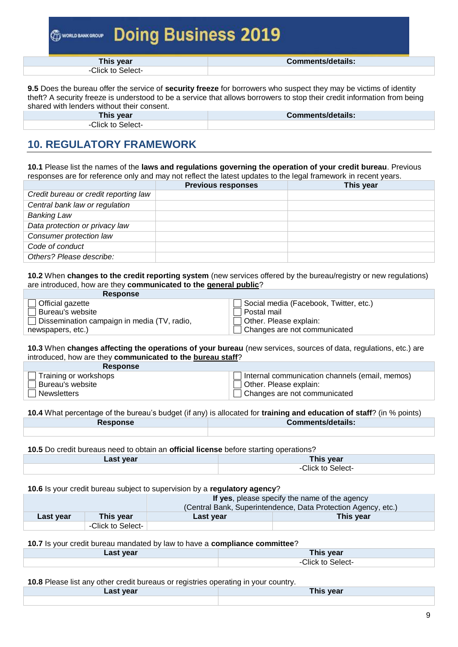**This year Comments/details:** -Click to Select-

**9.5** Does the bureau offer the service of **security freeze** for borrowers who suspect they may be victims of identity theft? A security freeze is understood to be a service that allows borrowers to stop their credit information from being shared with lenders without their consent.

| This year        | <b>Comments/details:</b> |
|------------------|--------------------------|
| Click to Select- |                          |

# **10. REGULATORY FRAMEWORK**

**10.1** Please list the names of the **laws and regulations governing the operation of your credit bureau**. Previous responses are for reference only and may not reflect the latest updates to the legal framework in recent years.

|                                       | <b>Previous responses</b> | This year |
|---------------------------------------|---------------------------|-----------|
| Credit bureau or credit reporting law |                           |           |
| Central bank law or regulation        |                           |           |
| <b>Banking Law</b>                    |                           |           |
| Data protection or privacy law        |                           |           |
| Consumer protection law               |                           |           |
| Code of conduct                       |                           |           |
| Others? Please describe:              |                           |           |

**10.2** When **changes to the credit reporting system** (new services offered by the bureau/registry or new regulations) are introduced, how are they **communicated to the general public**?

| <b>Response</b>                             |                                        |
|---------------------------------------------|----------------------------------------|
| Official gazette                            | Social media (Facebook, Twitter, etc.) |
| Bureau's website                            | Postal mail                            |
| Dissemination campaign in media (TV, radio, | Other. Please explain:                 |
| newspapers, etc.)                           | Changes are not communicated           |

**10.3** When **changes affecting the operations of your bureau** (new services, sources of data, regulations, etc.) are introduced, how are they **communicated to the bureau staff**?

| <b>Response</b>         |                                                |
|-------------------------|------------------------------------------------|
| J Training or workshops | Internal communication channels (email, memos) |
| l Bureau's website_     | Other. Please explain:                         |
| l Newsletters           | $\Box$ Changes are not communicated            |

**10.4** What percentage of the bureau's budget (if any) is allocated for **training and education of staff**? (in % points) **Response Comments/details:**

**10.5** Do credit bureaus need to obtain an **official license** before starting operations?

| vear<br>Last <sup>-</sup> | This year         |
|---------------------------|-------------------|
|                           | -Click to Select- |

### **10.6** Is your credit bureau subject to supervision by a **regulatory agency**?

|                  |                   | If yes, please specify the name of the agency                 |           |  |
|------------------|-------------------|---------------------------------------------------------------|-----------|--|
|                  |                   | (Central Bank, Superintendence, Data Protection Agency, etc.) |           |  |
| <b>Last year</b> | This vear         | Last year                                                     | This vear |  |
|                  | -Click to Select- |                                                               |           |  |

### **10.7** Is your credit bureau mandated by law to have a **compliance committee**?

| ∟ast vear | `his year        |
|-----------|------------------|
|           | `li∩k<br>Select- |

**10.8** Please list any other credit bureaus or registries operating in your country.

|                  | -- |           |  |
|------------------|----|-----------|--|
| <b>Last year</b> |    | This year |  |
|                  |    |           |  |